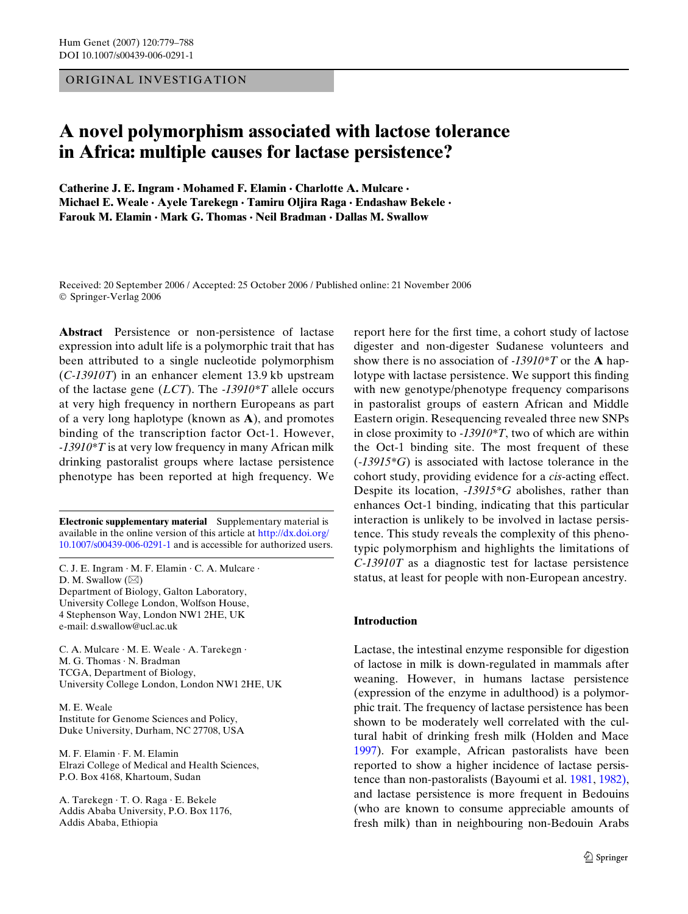ORIGINAL INVESTIGATION

# **A novel polymorphism associated with lactose tolerance in Africa: multiple causes for lactase persistence?**

**Catherine J. E. Ingram · Mohamed F. Elamin · Charlotte A. Mulcare · Michael E. Weale · Ayele Tarekegn · Tamiru Oljira Raga · Endashaw Bekele · Farouk M. Elamin · Mark G. Thomas · Neil Bradman · Dallas M. Swallow** 

Received: 20 September 2006 / Accepted: 25 October 2006 / Published online: 21 November 2006 © Springer-Verlag 2006

**Abstract** Persistence or non-persistence of lactase expression into adult life is a polymorphic trait that has been attributed to a single nucleotide polymorphism (*C-13910T*) in an enhancer element 13.9 kb upstream of the lactase gene (*LCT*). The *-13910\*T* allele occurs at very high frequency in northern Europeans as part of a very long haplotype (known as **A**), and promotes binding of the transcription factor Oct-1. However, *-13910\*T* is at very low frequency in many African milk drinking pastoralist groups where lactase persistence phenotype has been reported at high frequency. We

**Electronic supplementary material** [Supplementary material is](http://dx.doi.org/10.1007/s00439-006-0291-1)  [available in the online version of this article at](http://dx.doi.org/10.1007/s00439-006-0291-1) http://dx.doi.org/ 10.1007/s00439-006-0291-1 and is accessible for authorized users.

C. J. E. Ingram · M. F. Elamin · C. A. Mulcare · D. M. Swallow  $(\boxtimes)$ Department of Biology, Galton Laboratory, University College London, Wolfson House, 4 Stephenson Way, London NW1 2HE, UK e-mail: d.swallow@ucl.ac.uk

C. A. Mulcare · M. E. Weale · A. Tarekegn · M. G. Thomas · N. Bradman TCGA, Department of Biology, University College London, London NW1 2HE, UK

M. E. Weale Institute for Genome Sciences and Policy, Duke University, Durham, NC 27708, USA

M. F. Elamin · F. M. Elamin Elrazi College of Medical and Health Sciences, P.O. Box 4168, Khartoum, Sudan

A. Tarekegn · T. O. Raga · E. Bekele Addis Ababa University, P.O. Box 1176, Addis Ababa, Ethiopia

report here for the first time, a cohort study of lactose digester and non-digester Sudanese volunteers and show there is no association of *-13910\*T* or the **A** haplotype with lactase persistence. We support this finding with new genotype/phenotype frequency comparisons in pastoralist groups of eastern African and Middle Eastern origin. Resequencing revealed three new SNPs in close proximity to *-13910\*T*, two of which are within the Oct-1 binding site. The most frequent of these (-*13915\*G*) is associated with lactose tolerance in the cohort study, providing evidence for a *cis*-acting effect. Despite its location, -*13915\*G* abolishes, rather than enhances Oct-1 binding, indicating that this particular interaction is unlikely to be involved in lactase persistence. This study reveals the complexity of this phenotypic polymorphism and highlights the limitations of *C-13910T* as a diagnostic test for lactase persistence status, at least for people with non-European ancestry.

# **Introduction**

Lactase, the intestinal enzyme responsible for digestion of lactose in milk is down-regulated in mammals after weaning. However, in humans lactase persistence (expression of the enzyme in adulthood) is a polymorphic trait. The frequency of lactase persistence has been shown to be moderately well correlated with the cultural habit of drinking fresh milk (Holden and Mace [1997](#page-8-0)). For example, African pastoralists have been reported to show a higher incidence of lactase persistence than non-pastoralists (Bayoumi et al. [1981](#page-8-1), [1982\),](#page-8-2) and lactase persistence is more frequent in Bedouins (who are known to consume appreciable amounts of fresh milk) than in neighbouring non-Bedouin Arabs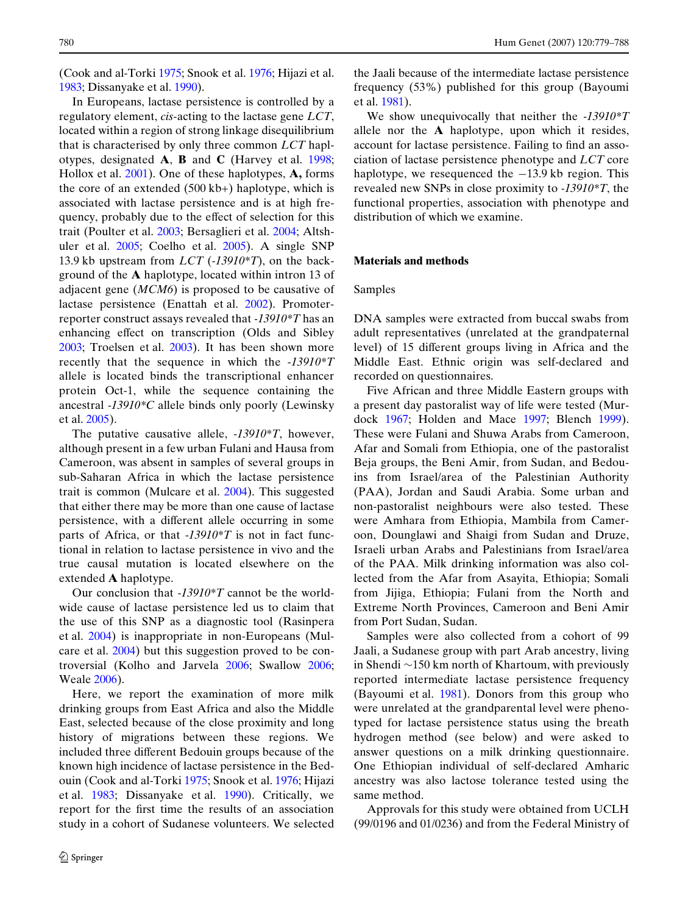(Cook and al-Torki [1975](#page-8-3); Snook et al. [1976](#page-8-4); Hijazi et al. [1983;](#page-8-5) Dissanyake et al. [1990\)](#page-8-6).

In Europeans, lactase persistence is controlled by a regulatory element, *cis*-acting to the lactase gene *LCT*, located within a region of strong linkage disequilibrium that is characterised by only three common *LCT* haplotypes, designated **A**, **B** and **C** (Harvey et al. [1998;](#page-8-7) Hollox et al. [2001](#page-8-8)). One of these haplotypes, **A,** forms the core of an extended (500 kb+) haplotype, which is associated with lactase persistence and is at high frequency, probably due to the effect of selection for this trait (Poulter et al. [2003](#page-8-9); Bersaglieri et al. [2004](#page-8-10); Altshuler et al. [2005;](#page-8-11) Coelho et al. [2005](#page-8-12)). A single SNP 13.9 kb upstream from *LCT* (*-13910\*T*), on the background of the **A** haplotype, located within intron 13 of adjacent gene (*MCM6*) is proposed to be causative of lactase persistence (Enattah et al. [2002](#page-8-13)). Promoterreporter construct assays revealed that *-13910\*T* has an enhancing effect on transcription (Olds and Sibley [2003](#page-8-14); Troelsen et al. [2003\)](#page-8-15). It has been shown more recently that the sequence in which the -*13910\*T* allele is located binds the transcriptional enhancer protein Oct-1, while the sequence containing the ancestral -*13910\*C* allele binds only poorly (Lewinsky et al. [2005\)](#page-8-16).

The putative causative allele, -*13910\*T*, however, although present in a few urban Fulani and Hausa from Cameroon, was absent in samples of several groups in sub-Saharan Africa in which the lactase persistence trait is common (Mulcare et al. [2004](#page-8-17)). This suggested that either there may be more than one cause of lactase persistence, with a different allele occurring in some parts of Africa, or that -*13910\*T* is not in fact functional in relation to lactase persistence in vivo and the true causal mutation is located elsewhere on the extended **A** haplotype.

Our conclusion that *-13910\*T* cannot be the worldwide cause of lactase persistence led us to claim that the use of this SNP as a diagnostic tool (Rasinpera et al. [2004\)](#page-8-18) is inappropriate in non-Europeans (Mulcare et al. [2004](#page-8-17)) but this suggestion proved to be controversial (Kolho and Jarvela [2006;](#page-8-19) Swallow [2006;](#page-8-20) Weale [2006](#page-9-0)).

Here, we report the examination of more milk drinking groups from East Africa and also the Middle East, selected because of the close proximity and long history of migrations between these regions. We included three different Bedouin groups because of the known high incidence of lactase persistence in the Bedouin (Cook and al-Torki [1975;](#page-8-3) Snook et al. [1976](#page-8-4); Hijazi et al. [1983](#page-8-5); Dissanyake et al. [1990\)](#page-8-6). Critically, we report for the first time the results of an association study in a cohort of Sudanese volunteers. We selected the Jaali because of the intermediate lactase persistence frequency (53%) published for this group (Bayoumi et al. [1981\)](#page-8-1).

We show unequivocally that neither the *-13910\*T* allele nor the **A** haplotype, upon which it resides, account for lactase persistence. Failing to find an association of lactase persistence phenotype and *LCT* core haplotype, we resequenced the  $-13.9$  kb region. This revealed new SNPs in close proximity to *-13910\*T*, the functional properties, association with phenotype and distribution of which we examine.

## **Materials and methods**

## Samples

DNA samples were extracted from buccal swabs from adult representatives (unrelated at the grandpaternal level) of 15 different groups living in Africa and the Middle East. Ethnic origin was self-declared and recorded on questionnaires.

Five African and three Middle Eastern groups with a present day pastoralist way of life were tested (Murdock [1967](#page-8-21); Holden and Mace [1997;](#page-8-0) Blench [1999\)](#page-8-22). These were Fulani and Shuwa Arabs from Cameroon, Afar and Somali from Ethiopia, one of the pastoralist Beja groups, the Beni Amir, from Sudan, and Bedouins from Israel/area of the Palestinian Authority (PAA), Jordan and Saudi Arabia. Some urban and non-pastoralist neighbours were also tested. These were Amhara from Ethiopia, Mambila from Cameroon, Dounglawi and Shaigi from Sudan and Druze, Israeli urban Arabs and Palestinians from Israel/area of the PAA. Milk drinking information was also collected from the Afar from Asayita, Ethiopia; Somali from Jijiga, Ethiopia; Fulani from the North and Extreme North Provinces, Cameroon and Beni Amir from Port Sudan, Sudan.

Samples were also collected from a cohort of 99 Jaali, a Sudanese group with part Arab ancestry, living in Shendi  $\sim$ 150 km north of Khartoum, with previously reported intermediate lactase persistence frequency (Bayoumi et al. [1981](#page-8-1)). Donors from this group who were unrelated at the grandparental level were phenotyped for lactase persistence status using the breath hydrogen method (see below) and were asked to answer questions on a milk drinking questionnaire. One Ethiopian individual of self-declared Amharic ancestry was also lactose tolerance tested using the same method.

Approvals for this study were obtained from UCLH (99/0196 and 01/0236) and from the Federal Ministry of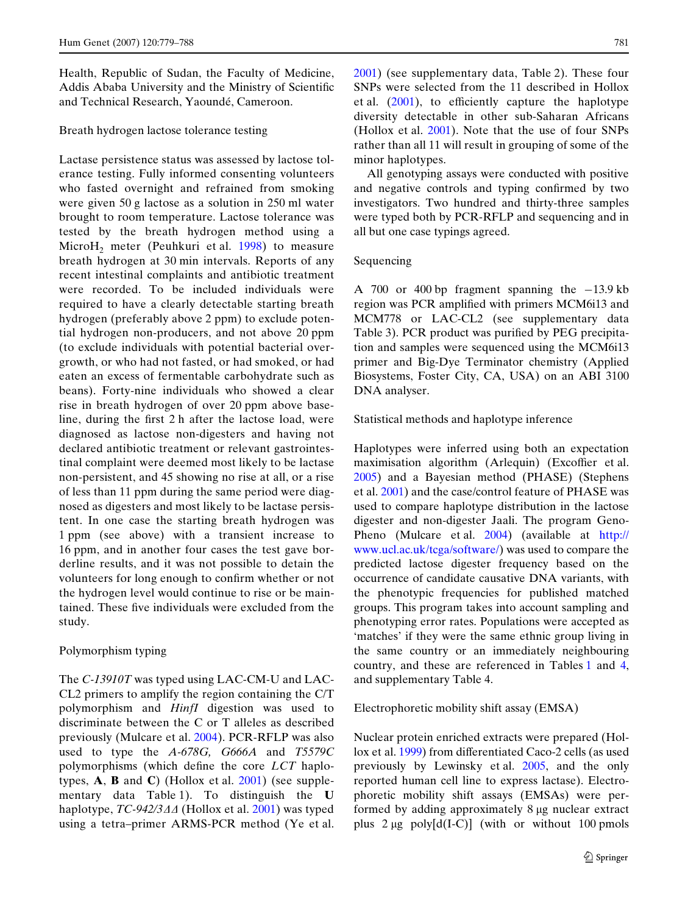Health, Republic of Sudan, the Faculty of Medicine, Addis Ababa University and the Ministry of Scientific and Technical Research, Yaoundé, Cameroon.

# Breath hydrogen lactose tolerance testing

Lactase persistence status was assessed by lactose tolerance testing. Fully informed consenting volunteers who fasted overnight and refrained from smoking were given 50 g lactose as a solution in 250 ml water brought to room temperature. Lactose tolerance was tested by the breath hydrogen method using a Micro $H_2$  meter (Peuhkuri et al. [1998\)](#page-8-23) to measure breath hydrogen at 30 min intervals. Reports of any recent intestinal complaints and antibiotic treatment were recorded. To be included individuals were required to have a clearly detectable starting breath hydrogen (preferably above 2 ppm) to exclude potential hydrogen non-producers, and not above 20 ppm (to exclude individuals with potential bacterial overgrowth, or who had not fasted, or had smoked, or had eaten an excess of fermentable carbohydrate such as beans). Forty-nine individuals who showed a clear rise in breath hydrogen of over 20 ppm above baseline, during the first  $2 h$  after the lactose load, were diagnosed as lactose non-digesters and having not declared antibiotic treatment or relevant gastrointestinal complaint were deemed most likely to be lactase non-persistent, and 45 showing no rise at all, or a rise of less than 11 ppm during the same period were diagnosed as digesters and most likely to be lactase persistent. In one case the starting breath hydrogen was 1 ppm (see above) with a transient increase to 16 ppm, and in another four cases the test gave borderline results, and it was not possible to detain the volunteers for long enough to confirm whether or not the hydrogen level would continue to rise or be maintained. These five individuals were excluded from the study.

### Polymorphism typing

The *C-13910T* was typed using LAC-CM-U and LAC-CL2 primers to amplify the region containing the C/T polymorphism and *HinfI* digestion was used to discriminate between the C or T alleles as described previously (Mulcare et al. [2004](#page-8-17)). PCR-RFLP was also used to type the *A-678G, G666A* and *T5579C* polymorphisms (which define the core *LCT* haplotypes, **A**, **B** and **C**) (Hollox et al. [2001\)](#page-8-8) (see supplementary data Table 1). To distinguish the **U** haplotype, *TC-942/344* (Hollox et al. [2001\)](#page-8-8) was typed using a tetra–primer ARMS-PCR method (Ye et al. [2001\)](#page-9-1) (see supplementary data, Table 2). These four SNPs were selected from the 11 described in Hollox et al.  $(2001)$  $(2001)$  $(2001)$ , to efficiently capture the haplotype diversity detectable in other sub-Saharan Africans (Hollox et al. [2001](#page-8-8)). Note that the use of four SNPs rather than all 11 will result in grouping of some of the minor haplotypes.

All genotyping assays were conducted with positive and negative controls and typing confirmed by two investigators. Two hundred and thirty-three samples were typed both by PCR-RFLP and sequencing and in all but one case typings agreed.

## Sequencing

A 700 or 400 bp fragment spanning the  $-13.9$  kb region was PCR amplified with primers MCM6i13 and MCM778 or LAC-CL2 (see supplementary data Table 3). PCR product was purified by PEG precipitation and samples were sequenced using the MCM6i13 primer and Big-Dye Terminator chemistry (Applied Biosystems, Foster City, CA, USA) on an ABI 3100 DNA analyser.

Statistical methods and haplotype inference

Haplotypes were inferred using both an expectation maximisation algorithm (Arlequin) (Excoffier et al. [2005](#page-8-24)) and a Bayesian method (PHASE) (Stephens et al. [2001\)](#page-8-25) and the case/control feature of PHASE was used to compare haplotype distribution in the lactose digester and non-digester Jaali. The program Geno-Pheno (Mulcare et al. [2004](#page-8-17)[\) \(available at h](http://www.ucl.ac.uk/tcga/software/)ttp:// www.ucl.ac.uk/tcga/software/) was used to compare the predicted lactose digester frequency based on the occurrence of candidate causative DNA variants, with the phenotypic frequencies for published matched groups. This program takes into account sampling and phenotyping error rates. Populations were accepted as 'matches' if they were the same ethnic group living in the same country or an immediately neighbouring country, and these are referenced in Tables [1](#page-3-0) and [4,](#page-5-0) and supplementary Table 4.

### Electrophoretic mobility shift assay (EMSA)

Nuclear protein enriched extracts were prepared (Hol-lox et al. [1999](#page-8-26)) from differentiated Caco-2 cells (as used previously by Lewinsky et al. [2005](#page-8-16), and the only reported human cell line to express lactase). Electrophoretic mobility shift assays (EMSAs) were performed by adding approximately 8 µg nuclear extract plus  $2 \mu g$  poly $[d(I-C)]$  (with or without 100 pmols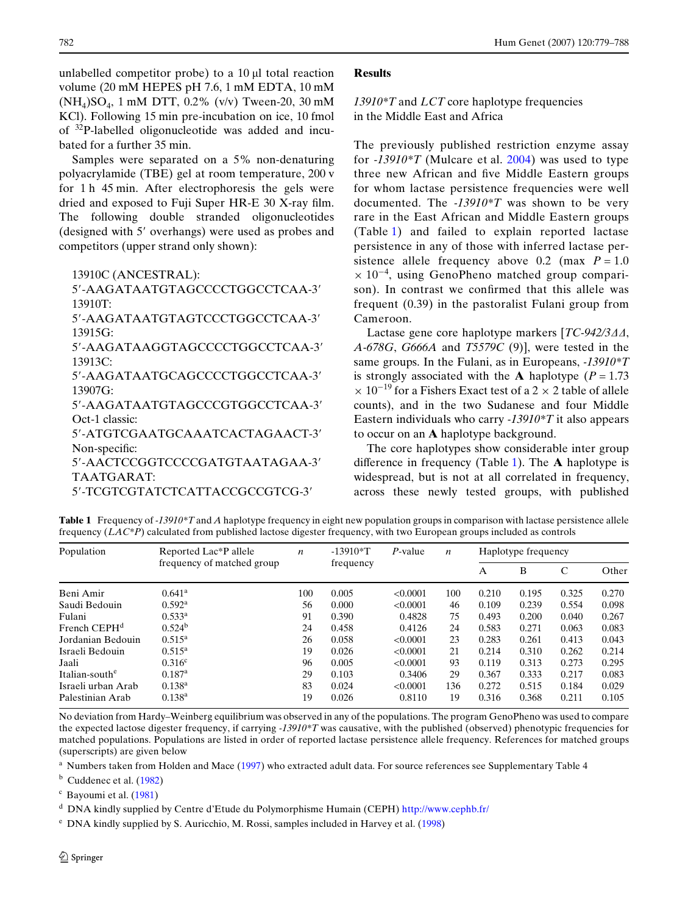unlabelled competitor probe) to a  $10 \mu l$  total reaction volume (20 mM HEPES pH 7.6, 1 mM EDTA, 10 mM  $(NH_4)SO_4$ , 1 mM DTT, 0.2% (v/v) Tween-20, 30 mM KCl). Following 15 min pre-incubation on ice, 10 fmol of 32P-labelled oligonucleotide was added and incubated for a further 35 min.

Samples were separated on a 5% non-denaturing polyacrylamide (TBE) gel at room temperature, 200 v for 1 h 45 min. After electrophoresis the gels were dried and exposed to Fuji Super HR-E  $30$  X-ray film. The following double stranded oligonucleotides (designed with 5' overhangs) were used as probes and competitors (upper strand only shown):

13910C (ANCESTRAL):

5-AAGATAATGTAGCCCCTGGCCTCAA-3 13910T:

5-AAGATAATGTAGTCCCTGGCCTCAA-3 13915G:

5-AAGATAAGGTAGCCCCTGGCCTCAA-3 13913C:

5-AAGATAATGCAGCCCCTGGCCTCAA-3 13907G:

5-AAGATAATGTAGCCCGTGGCCTCAA-3 Oct-1 classic:

5-ATGTCGAATGCAAATCACTAGAACT-3 Non-specific:

5-AACTCCGGTCCCCGATGTAATAGAA-3 TAATGARAT:

5-TCGTCGTATCTCATTACCGCCGTCG-3

# **Results**

*13910\*T* and *LCT* core haplotype frequencies in the Middle East and Africa

The previously published restriction enzyme assay for *-13910\*T* (Mulcare et al. [2004](#page-8-17)) was used to type three new African and five Middle Eastern groups for whom lactase persistence frequencies were well documented. The *-13910\*T* was shown to be very rare in the East African and Middle Eastern groups (Table [1\)](#page-3-0) and failed to explain reported lactase persistence in any of those with inferred lactase persistence allele frequency above 0.2 (max  $P = 1.0$ )  $\times$  10<sup>-4</sup>, using GenoPheno matched group comparison). In contrast we confirmed that this allele was frequent (0.39) in the pastoralist Fulani group from Cameroon.

Lactase gene core haplotype markers [*TC-942/3* $\varDelta\varDelta$ , *A-678G*, *G666A* and *T5579C* (9)], were tested in the same groups. In the Fulani, as in Europeans, *-13910\*T* is strongly associated with the **A** haplotype ( $P = 1.73$ )  $\times$  10<sup>-19</sup> for a Fishers Exact test of a 2  $\times$  2 table of allele counts), and in the two Sudanese and four Middle Eastern individuals who carry *-13910\*T* it also appears to occur on an **A** haplotype background.

The core haplotypes show considerable inter group difference in frequency (Table [1\)](#page-3-0). The  $\bf{A}$  haplotype is widespread, but is not at all correlated in frequency, across these newly tested groups, with published

<span id="page-3-0"></span>**Table 1** Frequency of *-13910\*T* and *A* haplotype frequency in eight new population groups in comparison with lactase persistence allele frequency (*LAC\*P*) calculated from published lactose digester frequency, with two European groups included as controls

| Population                 | Reported Lac <sup>*</sup> P allele | $\boldsymbol{n}$ | $-13910*T$ | P-value  | $\boldsymbol{n}$ | Haplotype frequency |       |       |       |
|----------------------------|------------------------------------|------------------|------------|----------|------------------|---------------------|-------|-------|-------|
|                            | frequency of matched group         |                  | frequency  |          |                  | A                   | В     | C     | Other |
| Beni Amir                  | 0.641 <sup>a</sup>                 | 100              | 0.005      | < 0.0001 | 100              | 0.210               | 0.195 | 0.325 | 0.270 |
| Saudi Bedouin              | $0.592^{\rm a}$                    | 56               | 0.000      | < 0.0001 | 46               | 0.109               | 0.239 | 0.554 | 0.098 |
| Fulani                     | $0.533^a$                          | 91               | 0.390      | 0.4828   | 75               | 0.493               | 0.200 | 0.040 | 0.267 |
| French CEPH <sup>d</sup>   | 0.524 <sup>b</sup>                 | 24               | 0.458      | 0.4126   | 24               | 0.583               | 0.271 | 0.063 | 0.083 |
| Jordanian Bedouin          | $0.515^{\rm a}$                    | 26               | 0.058      | < 0.0001 | 23               | 0.283               | 0.261 | 0.413 | 0.043 |
| Israeli Bedouin            | $0.515^{\rm a}$                    | 19               | 0.026      | < 0.0001 | 21               | 0.214               | 0.310 | 0.262 | 0.214 |
| Jaali                      | $0.316^c$                          | 96               | 0.005      | < 0.0001 | 93               | 0.119               | 0.313 | 0.273 | 0.295 |
| Italian-south <sup>e</sup> | $0.187^{\rm a}$                    | 29               | 0.103      | 0.3406   | 29               | 0.367               | 0.333 | 0.217 | 0.083 |
| Israeli urban Arab         | $0.138^{a}$                        | 83               | 0.024      | <0.0001  | 136              | 0.272               | 0.515 | 0.184 | 0.029 |
| Palestinian Arab           | $0.138^{a}$                        | 19               | 0.026      | 0.8110   | 19               | 0.316               | 0.368 | 0.211 | 0.105 |

No deviation from Hardy–Weinberg equilibrium was observed in any of the populations. The program GenoPheno was used to compare the expected lactose digester frequency, if carrying *-13910\*T* was causative, with the published (observed) phenotypic frequencies for matched populations. Populations are listed in order of reported lactase persistence allele frequency. References for matched groups (superscripts) are given below

Numbers taken from Holden and Mace ([1997\)](#page-8-0) who extracted adult data. For source references see Supplementary Table 4

 $<sup>b</sup>$  Cuddenec et al. [\(1982](#page-8-27))</sup>

<sup>c</sup> Bayoumi et al. ([1981\)](#page-8-1)

<sup>d</sup> [DNA kindly supplied by Centre d'Etude du Polymorphisme Humain \(CEPH\) h](http://www.cephb.fr/)ttp://www.cephb.fr/

<sup>e</sup> DNA kindly supplied by S. Auricchio, M. Rossi, samples included in Harvey et al. ([1998\)](#page-8-7)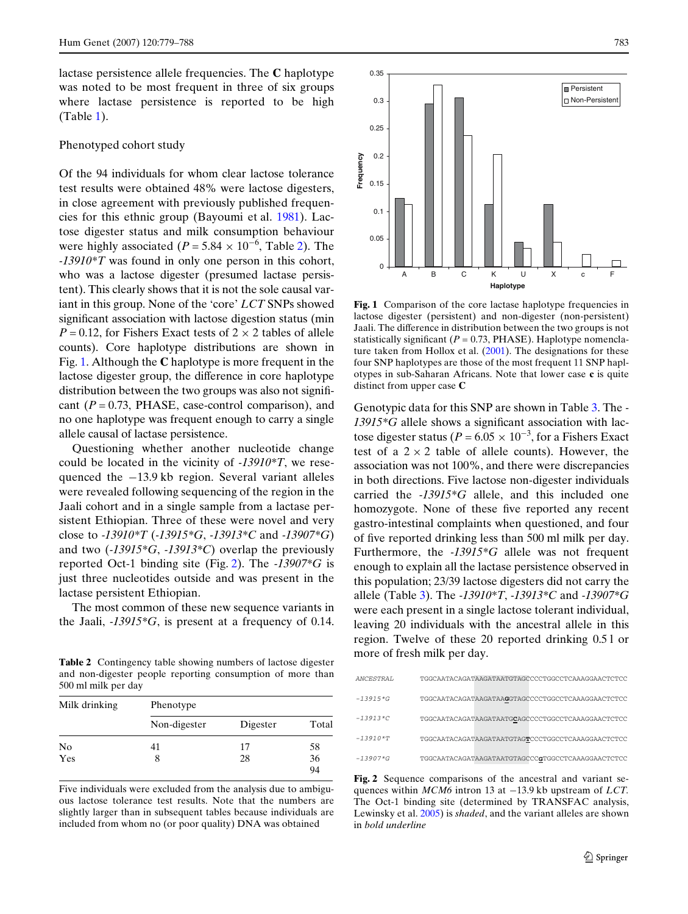lactase persistence allele frequencies. The **C** haplotype was noted to be most frequent in three of six groups where lactase persistence is reported to be high (Table [1](#page-3-0)).

#### Phenotyped cohort study

Of the 94 individuals for whom clear lactose tolerance test results were obtained 48% were lactose digesters, in close agreement with previously published frequencies for this ethnic group (Bayoumi et al. [1981](#page-8-1)). Lactose digester status and milk consumption behaviour were highly associated ( $P = 5.84 \times 10^{-6}$ , Table [2](#page-4-0)). The *-13910\*T* was found in only one person in this cohort, who was a lactose digester (presumed lactase persistent). This clearly shows that it is not the sole causal variant in this group. None of the 'core' *LCT* SNPs showed significant association with lactose digestion status (min  $P = 0.12$ , for Fishers Exact tests of  $2 \times 2$  tables of allele counts). Core haplotype distributions are shown in Fig. [1.](#page-4-1) Although the **C** haplotype is more frequent in the lactose digester group, the difference in core haplotype distribution between the two groups was also not significant  $(P = 0.73, PHASE, case-control comparison)$ , and no one haplotype was frequent enough to carry a single allele causal of lactase persistence.

Questioning whether another nucleotide change could be located in the vicinity of *-13910\*T*, we resequenced the  $-13.9$  kb region. Several variant alleles were revealed following sequencing of the region in the Jaali cohort and in a single sample from a lactase persistent Ethiopian. Three of these were novel and very close to *-13910\*T* (*-13915\*G*, *-13913\*C* and *-13907\*G*) and two (*-13915\*G*, *-13913\*C*) overlap the previously reported Oct-1 binding site (Fig. [2](#page-4-2)). The *-13907\*G* is just three nucleotides outside and was present in the lactase persistent Ethiopian.

The most common of these new sequence variants in the Jaali, *-13915\*G*, is present at a frequency of 0.14.

<span id="page-4-0"></span>more of fresh milk per day. **Table 2** Contingency table showing numbers of lactose digester and non-digester people reporting consumption of more than 500 ml milk per day

| Milk drinking | Phenotype    |          |       |  |  |  |  |  |
|---------------|--------------|----------|-------|--|--|--|--|--|
|               | Non-digester | Digester | Total |  |  |  |  |  |
| No            | 41           | 17       | 58    |  |  |  |  |  |
| Yes           | 8            | 28       | 36    |  |  |  |  |  |
|               |              |          | 94    |  |  |  |  |  |

Five individuals were excluded from the analysis due to ambiguous lactose tolerance test results. Note that the numbers are slightly larger than in subsequent tables because individuals are included from whom no (or poor quality) DNA was obtained



<span id="page-4-1"></span>Fig. 1 Comparison of the core lactase haplotype frequencies in lactose digester (persistent) and non-digester (non-persistent) Jaali. The difference in distribution between the two groups is not statistically significant  $(P = 0.73, PHASE)$ . Haplotype nomenclature taken from Hollox et al. [\(2001](#page-8-8)). The designations for these four SNP haplotypes are those of the most frequent 11 SNP haplotypes in sub-Saharan Africans. Note that lower case **c** is quite distinct from upper case **C**

Genotypic data for this SNP are shown in Table [3.](#page-5-1) The *-* 13915\*G allele shows a significant association with lactose digester status ( $P = 6.05 \times 10^{-3}$ , for a Fishers Exact test of a  $2 \times 2$  table of allele counts). However, the association was not 100%, and there were discrepancies in both directions. Five lactose non-digester individuals carried the *-13915\*G* allele, and this included one homozygote. None of these five reported any recent gastro-intestinal complaints when questioned, and four of Wve reported drinking less than 500 ml milk per day. Furthermore, the *-13915\*G* allele was not frequent enough to explain all the lactase persistence observed in this population; 23/39 lactose digesters did not carry the allele (Table [3](#page-5-1)). The *-13910\*T*, *-13913\*C* and *-13907\*G* were each present in a single lactose tolerant individual, leaving 20 individuals with the ancestral allele in this region. Twelve of these 20 reported drinking 0.5 l or

| <i>ANCESTRAL</i> | TGGCAATACAGATAAGATAATGTAGCCCCTGGCCTCAAAGGAACTCTCC |
|------------------|---------------------------------------------------|
| $-13915*G$       | TGGCAATACAGATAAGATAAGGTAGCCCCTGGCCTCAAAGGAACTCTCC |
| $-13913*C$       | TGGCAATACAGATAAGATAATGCAGCCCCTGGCCTCAAAGGAACTCTCC |
| $-13910*T$       | TGGCAATACAGATAAGATAATGTAGTCCCTGGCCTCAAAGGAACTCTCC |
| $-13907*G$       | TGGCAATACAGATAAGATAATGTAGCCCGTGGCCTCAAAGGAACTCTCC |

<span id="page-4-2"></span>**Fig. 2** Sequence comparisons of the ancestral and variant sequences within *MCM6* intron 13 at -13.9 kb upstream of *LCT*. The Oct-1 binding site (determined by TRANSFAC analysis, Lewinsky et al. [2005\)](#page-8-16) is *shaded*, and the variant alleles are shown in *bold underline*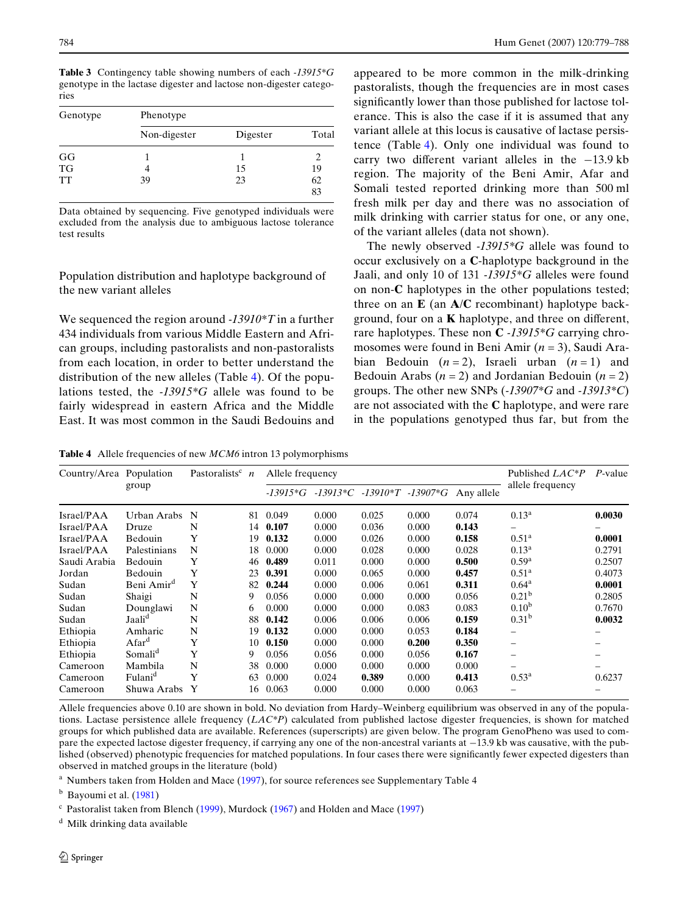<span id="page-5-1"></span>**Table 3** Contingency table showing numbers of each *-13915\*G* genotype in the lactase digester and lactose non-digester categories

| Genotype             | Phenotype    |          |       |  |  |  |  |
|----------------------|--------------|----------|-------|--|--|--|--|
|                      | Non-digester | Digester | Total |  |  |  |  |
|                      |              |          |       |  |  |  |  |
| $_{\rm TG}^{\rm GG}$ | 4            | 15       | 19    |  |  |  |  |
| TT                   | 39           | 23       | 62    |  |  |  |  |
|                      |              |          | 83    |  |  |  |  |

Data obtained by sequencing. Five genotyped individuals were excluded from the analysis due to ambiguous lactose tolerance test results

Population distribution and haplotype background of the new variant alleles

We sequenced the region around *-13910\*T* in a further 434 individuals from various Middle Eastern and African groups, including pastoralists and non-pastoralists from each location, in order to better understand the distribution of the new alleles (Table [4](#page-5-0)). Of the populations tested, the *-13915\*G* allele was found to be fairly widespread in eastern Africa and the Middle East. It was most common in the Saudi Bedouins and appeared to be more common in the milk-drinking pastoralists, though the frequencies are in most cases significantly lower than those published for lactose tolerance. This is also the case if it is assumed that any variant allele at this locus is causative of lactase persistence (Table [4](#page-5-0)). Only one individual was found to carry two different variant alleles in the  $-13.9$  kb region. The majority of the Beni Amir, Afar and Somali tested reported drinking more than 500 ml fresh milk per day and there was no association of milk drinking with carrier status for one, or any one, of the variant alleles (data not shown).

The newly observed *-13915\*G* allele was found to occur exclusively on a **C**-haplotype background in the Jaali, and only 10 of 131 *-13915\*G* alleles were found on non-**C** haplotypes in the other populations tested; three on an **E** (an **A**/**C** recombinant) haplotype background, four on a  $K$  haplotype, and three on different, rare haplotypes. These non **C** *-13915\*G* carrying chromosomes were found in Beni Amir (*n* = 3), Saudi Arabian Bedouin  $(n=2)$ , Israeli urban  $(n=1)$  and Bedouin Arabs  $(n = 2)$  and Jordanian Bedouin  $(n = 2)$ groups. The other new SNPs (*-13907\*G* and *-13913\*C*) are not associated with the **C** haplotype, and were rare in the populations genotyped thus far, but from the

<span id="page-5-0"></span>**Table 4** Allele frequencies of new *MCM6* intron 13 polymorphisms

| Country/Area Population | group                  | Pastoralists <sup>c</sup> $n$ |    | Allele frequency |       |       |                                       |            | Published LAC*P   | $P$ -value |
|-------------------------|------------------------|-------------------------------|----|------------------|-------|-------|---------------------------------------|------------|-------------------|------------|
|                         |                        |                               |    |                  |       |       | $-13915*G -13913*C -13910*T -13907*C$ | Any allele | allele frequency  |            |
| Israel/PAA              | Urban Arabs            | N                             | 81 | 0.049            | 0.000 | 0.025 | 0.000                                 | 0.074      | $0.13^{\rm a}$    | 0.0030     |
| Israel/PAA              | Druze                  | N                             | 14 | 0.107            | 0.000 | 0.036 | 0.000                                 | 0.143      |                   |            |
| Israel/PAA              | Bedouin                | Y                             | 19 | 0.132            | 0.000 | 0.026 | 0.000                                 | 0.158      | 0.51 <sup>a</sup> | 0.0001     |
| Israel/PAA              | Palestinians           | N                             | 18 | 0.000            | 0.000 | 0.028 | 0.000                                 | 0.028      | $0.13^{\rm a}$    | 0.2791     |
| Saudi Arabia            | Bedouin                | Y                             | 46 | 0.489            | 0.011 | 0.000 | 0.000                                 | 0.500      | $0.59^{\rm a}$    | 0.2507     |
| Jordan                  | Bedouin                | Y                             | 23 | 0.391            | 0.000 | 0.065 | 0.000                                 | 0.457      | $0.51^{\rm a}$    | 0.4073     |
| Sudan                   | Beni Amir <sup>d</sup> | Y                             | 82 | 0.244            | 0.000 | 0.006 | 0.061                                 | 0.311      | $0.64^{\rm a}$    | 0.0001     |
| Sudan                   | Shaigi                 | N                             | 9  | 0.056            | 0.000 | 0.000 | 0.000                                 | 0.056      | 0.21 <sup>b</sup> | 0.2805     |
| Sudan                   | Dounglawi              | N                             | 6  | 0.000            | 0.000 | 0.000 | 0.083                                 | 0.083      | $0.10^{b}$        | 0.7670     |
| Sudan                   | Jaali <sup>d</sup>     | N                             | 88 | 0.142            | 0.006 | 0.006 | 0.006                                 | 0.159      | 0.31 <sup>b</sup> | 0.0032     |
| Ethiopia                | Amharic                | N                             | 19 | 0.132            | 0.000 | 0.000 | 0.053                                 | 0.184      |                   |            |
| Ethiopia                | Afar <sup>d</sup>      | Y                             | 10 | 0.150            | 0.000 | 0.000 | 0.200                                 | 0.350      |                   |            |
| Ethiopia                | Somali <sup>d</sup>    | Y                             | 9  | 0.056            | 0.056 | 0.000 | 0.056                                 | 0.167      |                   |            |
| Cameroon                | Mambila                | N                             | 38 | 0.000            | 0.000 | 0.000 | 0.000                                 | 0.000      |                   |            |
| Cameroon                | Fulani <sup>d</sup>    | Y                             | 63 | 0.000            | 0.024 | 0.389 | 0.000                                 | 0.413      | $0.53^{\rm a}$    | 0.6237     |
| Cameroon                | Shuwa Arabs            | Y                             | 16 | 0.063            | 0.000 | 0.000 | 0.000                                 | 0.063      |                   |            |

Allele frequencies above 0.10 are shown in bold. No deviation from Hardy–Weinberg equilibrium was observed in any of the populations. Lactase persistence allele frequency (*LAC\*P*) calculated from published lactose digester frequencies, is shown for matched groups for which published data are available. References (superscripts) are given below. The program GenoPheno was used to compare the expected lactose digester frequency, if carrying any one of the non-ancestral variants at  $-13.9$  kb was causative, with the published (observed) phenotypic frequencies for matched populations. In four cases there were significantly fewer expected digesters than observed in matched groups in the literature (bold)

<sup>a</sup> Numbers taken from Holden and Mace ([1997\)](#page-8-0), for source references see Supplementary Table 4

 $<sup>b</sup>$  Bayoumi et al. [\(1981](#page-8-1))</sup>

 $c$  Pastoralist taken from Blench ([1999\)](#page-8-22), Murdock ([1967\)](#page-8-21) and Holden and Mace ([1997\)](#page-8-0)

<sup>d</sup> Milk drinking data available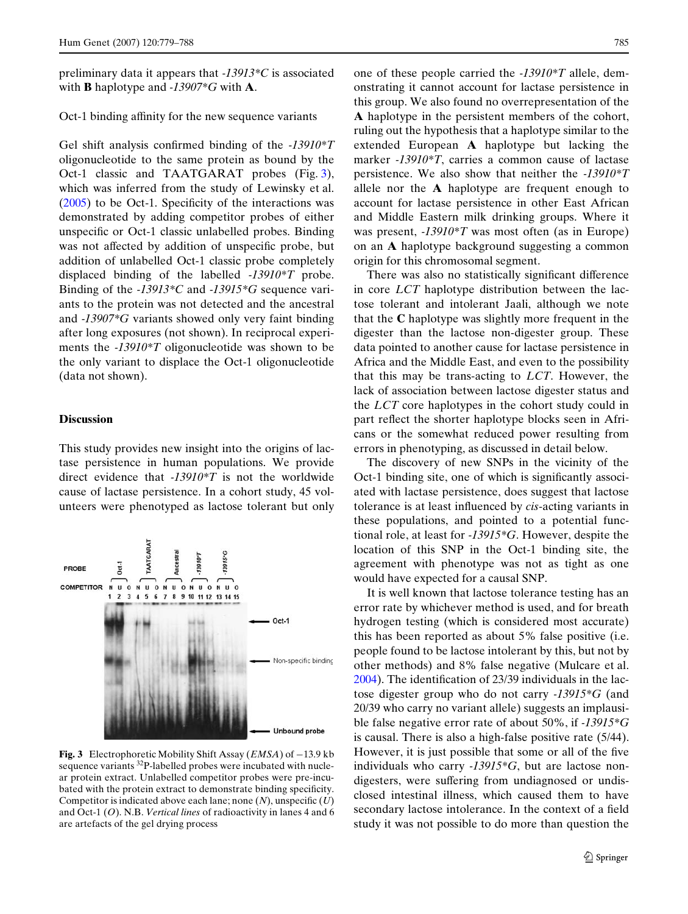preliminary data it appears that *-13913\*C* is associated with **B** haplotype and *-13907\*G* with **A**.

#### Oct-1 binding affinity for the new sequence variants

Gel shift analysis confirmed binding of the *-13910\*T* oligonucleotide to the same protein as bound by the Oct-1 classic and TAATGARAT probes (Fig. [3\)](#page-6-0), which was inferred from the study of Lewinsky et al.  $(2005)$  $(2005)$  to be Oct-1. Specificity of the interactions was demonstrated by adding competitor probes of either unspecific or Oct-1 classic unlabelled probes. Binding was not affected by addition of unspecific probe, but addition of unlabelled Oct-1 classic probe completely displaced binding of the labelled *-13910\*T* probe. Binding of the *-13913\*C* and *-13915\*G* sequence variants to the protein was not detected and the ancestral and *-13907\*G* variants showed only very faint binding after long exposures (not shown). In reciprocal experiments the *-13910\*T* oligonucleotide was shown to be the only variant to displace the Oct-1 oligonucleotide (data not shown).

#### **Discussion**

This study provides new insight into the origins of lactase persistence in human populations. We provide direct evidence that *-13910\*T* is not the worldwide cause of lactase persistence. In a cohort study, 45 volunteers were phenotyped as lactose tolerant but only



<span id="page-6-0"></span>**Fig. 3** Electrophoretic Mobility Shift Assay ( $EMSA$ ) of  $-13.9$  kb sequence variants 32P-labelled probes were incubated with nuclear protein extract. Unlabelled competitor probes were pre-incubated with the protein extract to demonstrate binding specificity. Competitor is indicated above each lane; none  $(N)$ , unspecific  $(U)$ and Oct-1 (*O*). N.B. *Vertical lines* of radioactivity in lanes 4 and 6 are artefacts of the gel drying process

one of these people carried the *-13910\*T* allele, demonstrating it cannot account for lactase persistence in this group. We also found no overrepresentation of the **A** haplotype in the persistent members of the cohort, ruling out the hypothesis that a haplotype similar to the extended European **A** haplotype but lacking the marker *-13910\*T*, carries a common cause of lactase persistence. We also show that neither the *-13910\*T* allele nor the **A** haplotype are frequent enough to account for lactase persistence in other East African and Middle Eastern milk drinking groups. Where it was present, *-13910\*T* was most often (as in Europe) on an **A** haplotype background suggesting a common origin for this chromosomal segment.

There was also no statistically significant difference in core *LCT* haplotype distribution between the lactose tolerant and intolerant Jaali, although we note that the **C** haplotype was slightly more frequent in the digester than the lactose non-digester group. These data pointed to another cause for lactase persistence in Africa and the Middle East, and even to the possibility that this may be trans-acting to *LCT*. However, the lack of association between lactose digester status and the *LCT* core haplotypes in the cohort study could in part reflect the shorter haplotype blocks seen in Africans or the somewhat reduced power resulting from errors in phenotyping, as discussed in detail below.

The discovery of new SNPs in the vicinity of the Oct-1 binding site, one of which is significantly associated with lactase persistence, does suggest that lactose tolerance is at least influenced by *cis*-acting variants in these populations, and pointed to a potential functional role, at least for *-13915\*G*. However, despite the location of this SNP in the Oct-1 binding site, the agreement with phenotype was not as tight as one would have expected for a causal SNP.

It is well known that lactose tolerance testing has an error rate by whichever method is used, and for breath hydrogen testing (which is considered most accurate) this has been reported as about 5% false positive (i.e. people found to be lactose intolerant by this, but not by other methods) and 8% false negative (Mulcare et al.  $2004$ ). The identification of 23/39 individuals in the lactose digester group who do not carry *-13915\*G* (and 20/39 who carry no variant allele) suggests an implausible false negative error rate of about 50%, if *-13915\*G* is causal. There is also a high-false positive rate (5/44). However, it is just possible that some or all of the five individuals who carry *-13915\*G*, but are lactose nondigesters, were suffering from undiagnosed or undisclosed intestinal illness, which caused them to have secondary lactose intolerance. In the context of a field study it was not possible to do more than question the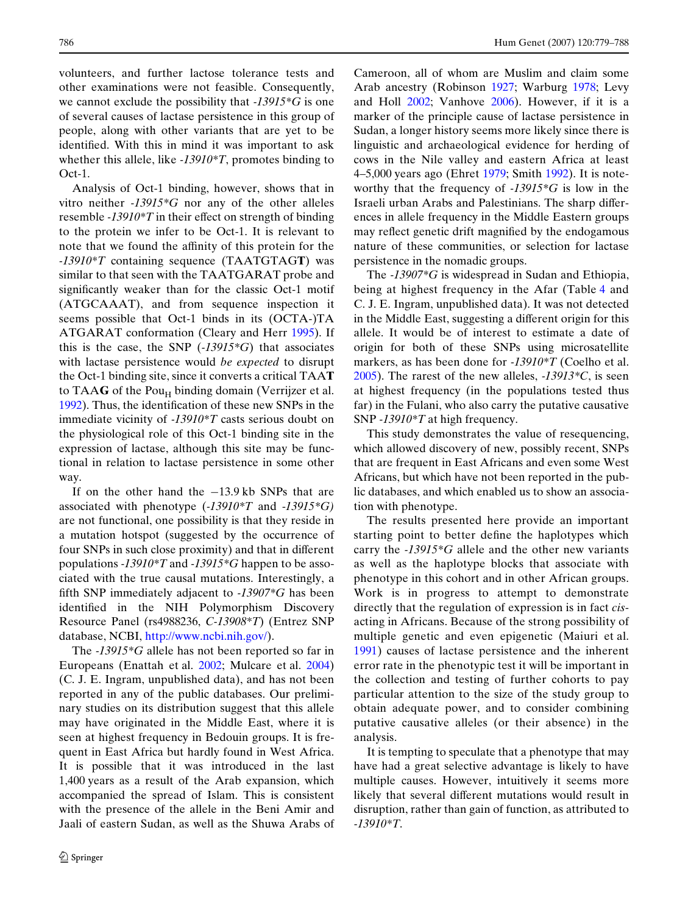volunteers, and further lactose tolerance tests and other examinations were not feasible. Consequently, we cannot exclude the possibility that *-13915\*G* is one of several causes of lactase persistence in this group of people, along with other variants that are yet to be identified. With this in mind it was important to ask whether this allele, like *-13910\*T*, promotes binding to Oct-1.

Analysis of Oct-1 binding, however, shows that in vitro neither *-13915\*G* nor any of the other alleles resemble  $-13910\text{*}T$  in their effect on strength of binding to the protein we infer to be Oct-1. It is relevant to note that we found the affinity of this protein for the *-13910\*T* containing sequence (TAATGTAG**T**) was similar to that seen with the TAATGARAT probe and significantly weaker than for the classic Oct-1 motif (ATGCAAAT), and from sequence inspection it seems possible that Oct-1 binds in its (OCTA-)TA ATGARAT conformation (Cleary and Herr [1995](#page-8-28)). If this is the case, the SNP (*-13915\*G*) that associates with lactase persistence would *be expected* to disrupt the Oct-1 binding site, since it converts a critical TAA**T** to TAA $G$  of the Pou<sub>H</sub> binding domain (Verrijzer et al. [1992](#page-9-2)). Thus, the identification of these new SNPs in the immediate vicinity of *-13910\*T* casts serious doubt on the physiological role of this Oct-1 binding site in the expression of lactase, although this site may be functional in relation to lactase persistence in some other way.

If on the other hand the  $-13.9$  kb SNPs that are associated with phenotype (*-13910\*T* and -*13915\*G)* are not functional, one possibility is that they reside in a mutation hotspot (suggested by the occurrence of four SNPs in such close proximity) and that in different populations *-13910\*T* and *-13915\*G* happen to be associated with the true causal mutations. Interestingly, a fifth SNP immediately adjacent to  $-13907*G$  has been identified in the NIH Polymorphism Discovery Resource Panel (rs4988236, *C-13908\*T*[\) \(Entrez SNP](http://www.ncbi.nih.gov/) [database, NCBI, h](http://www.ncbi.nih.gov/)ttp://www.ncbi.nih.gov/).

The *-13915\*G* allele has not been reported so far in Europeans (Enattah et al. [2002;](#page-8-13) Mulcare et al. [2004](#page-8-17)) (C. J. E. Ingram, unpublished data), and has not been reported in any of the public databases. Our preliminary studies on its distribution suggest that this allele may have originated in the Middle East, where it is seen at highest frequency in Bedouin groups. It is frequent in East Africa but hardly found in West Africa. It is possible that it was introduced in the last 1,400 years as a result of the Arab expansion, which accompanied the spread of Islam. This is consistent with the presence of the allele in the Beni Amir and Jaali of eastern Sudan, as well as the Shuwa Arabs of Cameroon, all of whom are Muslim and claim some Arab ancestry (Robinson [1927](#page-8-29); Warburg [1978;](#page-9-3) Levy and Holl [2002](#page-8-30); Vanhove [2006\)](#page-9-4). However, if it is a marker of the principle cause of lactase persistence in Sudan, a longer history seems more likely since there is linguistic and archaeological evidence for herding of cows in the Nile valley and eastern Africa at least 4–5,000 years ago (Ehret [1979;](#page-8-31) Smith [1992\)](#page-8-32). It is noteworthy that the frequency of *-13915\*G* is low in the Israeli urban Arabs and Palestinians. The sharp differences in allele frequency in the Middle Eastern groups may reflect genetic drift magnified by the endogamous nature of these communities, or selection for lactase persistence in the nomadic groups.

The *-13907\*G* is widespread in Sudan and Ethiopia, being at highest frequency in the Afar (Table [4](#page-5-0) and C. J. E. Ingram, unpublished data). It was not detected in the Middle East, suggesting a different origin for this allele. It would be of interest to estimate a date of origin for both of these SNPs using microsatellite markers, as has been done for *-13910\*T* (Coelho et al. [2005](#page-8-12)). The rarest of the new alleles, *-13913\*C*, is seen at highest frequency (in the populations tested thus far) in the Fulani, who also carry the putative causative SNP *-13910\*T* at high frequency.

This study demonstrates the value of resequencing, which allowed discovery of new, possibly recent, SNPs that are frequent in East Africans and even some West Africans, but which have not been reported in the public databases, and which enabled us to show an association with phenotype.

The results presented here provide an important starting point to better define the haplotypes which carry the *-13915\*G* allele and the other new variants as well as the haplotype blocks that associate with phenotype in this cohort and in other African groups. Work is in progress to attempt to demonstrate directly that the regulation of expression is in fact *cis*acting in Africans. Because of the strong possibility of multiple genetic and even epigenetic (Maiuri et al. [1991\)](#page-8-33) causes of lactase persistence and the inherent error rate in the phenotypic test it will be important in the collection and testing of further cohorts to pay particular attention to the size of the study group to obtain adequate power, and to consider combining putative causative alleles (or their absence) in the analysis.

It is tempting to speculate that a phenotype that may have had a great selective advantage is likely to have multiple causes. However, intuitively it seems more likely that several different mutations would result in disruption, rather than gain of function, as attributed to *-13910\*T*.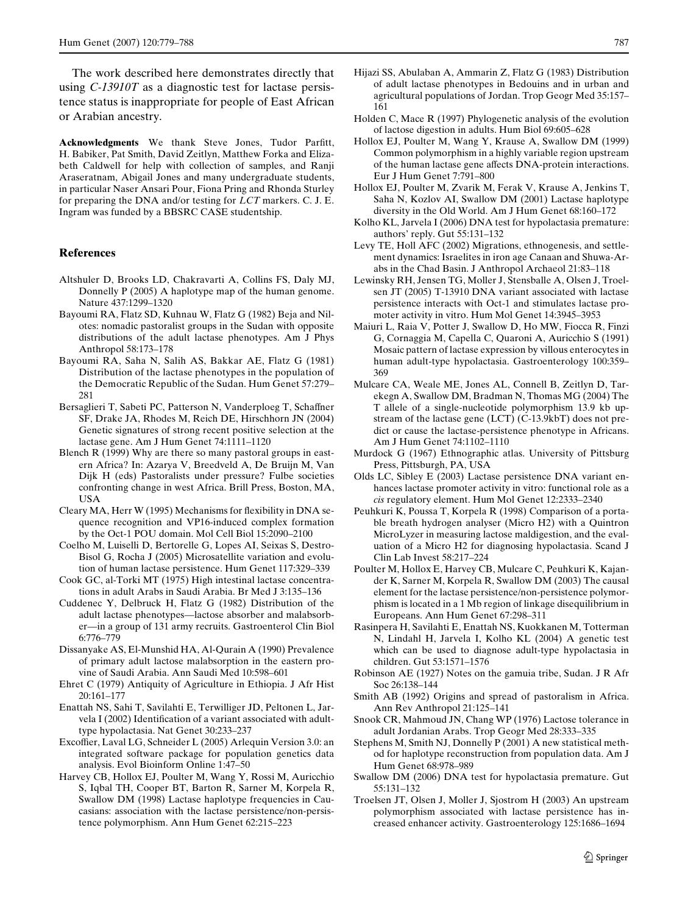The work described here demonstrates directly that using *C-13910T* as a diagnostic test for lactase persistence status is inappropriate for people of East African or Arabian ancestry.

Acknowledgments We thank Steve Jones, Tudor Parfitt, H. Babiker, Pat Smith, David Zeitlyn, Matthew Forka and Elizabeth Caldwell for help with collection of samples, and Ranji Araseratnam, Abigail Jones and many undergraduate students, in particular Naser Ansari Pour, Fiona Pring and Rhonda Sturley for preparing the DNA and/or testing for *LCT* markers. C. J. E. Ingram was funded by a BBSRC CASE studentship.

## **References**

- <span id="page-8-11"></span>Altshuler D, Brooks LD, Chakravarti A, Collins FS, Daly MJ, Donnelly P (2005) A haplotype map of the human genome. Nature 437:1299–1320
- <span id="page-8-2"></span>Bayoumi RA, Flatz SD, Kuhnau W, Flatz G (1982) Beja and Nilotes: nomadic pastoralist groups in the Sudan with opposite distributions of the adult lactase phenotypes. Am J Phys Anthropol 58:173–178
- <span id="page-8-1"></span>Bayoumi RA, Saha N, Salih AS, Bakkar AE, Flatz G (1981) Distribution of the lactase phenotypes in the population of the Democratic Republic of the Sudan. Hum Genet 57:279– 281
- <span id="page-8-10"></span>Bersaglieri T, Sabeti PC, Patterson N, Vanderploeg T, Schaffner SF, Drake JA, Rhodes M, Reich DE, Hirschhorn JN (2004) Genetic signatures of strong recent positive selection at the lactase gene. Am J Hum Genet 74:1111–1120
- <span id="page-8-22"></span>Blench R (1999) Why are there so many pastoral groups in eastern Africa? In: Azarya V, Breedveld A, De Bruijn M, Van Dijk H (eds) Pastoralists under pressure? Fulbe societies confronting change in west Africa. Brill Press, Boston, MA, USA
- <span id="page-8-28"></span>Cleary MA, Herr W (1995) Mechanisms for flexibility in DNA sequence recognition and VP16-induced complex formation by the Oct-1 POU domain. Mol Cell Biol 15:2090–2100
- <span id="page-8-12"></span>Coelho M, Luiselli D, Bertorelle G, Lopes AI, Seixas S, Destro-Bisol G, Rocha J (2005) Microsatellite variation and evolution of human lactase persistence. Hum Genet 117:329–339
- <span id="page-8-3"></span>Cook GC, al-Torki MT (1975) High intestinal lactase concentrations in adult Arabs in Saudi Arabia. Br Med J 3:135–136
- <span id="page-8-27"></span>Cuddenec Y, Delbruck H, Flatz G (1982) Distribution of the adult lactase phenotypes—lactose absorber and malabsorber—in a group of 131 army recruits. Gastroenterol Clin Biol 6:776–779
- <span id="page-8-6"></span>Dissanyake AS, El-Munshid HA, Al-Qurain A (1990) Prevalence of primary adult lactose malabsorption in the eastern provine of Saudi Arabia. Ann Saudi Med 10:598–601
- <span id="page-8-31"></span>Ehret C (1979) Antiquity of Agriculture in Ethiopia. J Afr Hist 20:161–177
- <span id="page-8-13"></span>Enattah NS, Sahi T, Savilahti E, Terwilliger JD, Peltonen L, Jarvela I (2002) Identification of a variant associated with adulttype hypolactasia. Nat Genet 30:233–237
- <span id="page-8-24"></span>Excoffier, Laval LG, Schneider L (2005) Arlequin Version 3.0: an integrated software package for population genetics data analysis. Evol Bioinform Online 1:47–50
- <span id="page-8-7"></span>Harvey CB, Hollox EJ, Poulter M, Wang Y, Rossi M, Auricchio S, Iqbal TH, Cooper BT, Barton R, Sarner M, Korpela R, Swallow DM (1998) Lactase haplotype frequencies in Caucasians: association with the lactase persistence/non-persistence polymorphism. Ann Hum Genet 62:215–223
- <span id="page-8-5"></span>Hijazi SS, Abulaban A, Ammarin Z, Flatz G (1983) Distribution of adult lactase phenotypes in Bedouins and in urban and agricultural populations of Jordan. Trop Geogr Med 35:157– 161
- <span id="page-8-0"></span>Holden C, Mace R (1997) Phylogenetic analysis of the evolution of lactose digestion in adults. Hum Biol 69:605–628
- <span id="page-8-26"></span>Hollox EJ, Poulter M, Wang Y, Krause A, Swallow DM (1999) Common polymorphism in a highly variable region upstream of the human lactase gene affects DNA-protein interactions. Eur J Hum Genet 7:791–800
- <span id="page-8-8"></span>Hollox EJ, Poulter M, Zvarik M, Ferak V, Krause A, Jenkins T, Saha N, Kozlov AI, Swallow DM (2001) Lactase haplotype diversity in the Old World. Am J Hum Genet 68:160–172
- <span id="page-8-19"></span>Kolho KL, Jarvela I (2006) DNA test for hypolactasia premature: authors' reply. Gut 55:131–132
- <span id="page-8-30"></span>Levy TE, Holl AFC (2002) Migrations, ethnogenesis, and settlement dynamics: Israelites in iron age Canaan and Shuwa-Arabs in the Chad Basin. J Anthropol Archaeol 21:83–118
- <span id="page-8-16"></span>Lewinsky RH, Jensen TG, Moller J, Stensballe A, Olsen J, Troelsen JT (2005) T-13910 DNA variant associated with lactase persistence interacts with Oct-1 and stimulates lactase promoter activity in vitro. Hum Mol Genet 14:3945–3953
- <span id="page-8-33"></span>Maiuri L, Raia V, Potter J, Swallow D, Ho MW, Fiocca R, Finzi G, Cornaggia M, Capella C, Quaroni A, Auricchio S (1991) Mosaic pattern of lactase expression by villous enterocytes in human adult-type hypolactasia. Gastroenterology 100:359– 369
- <span id="page-8-17"></span>Mulcare CA, Weale ME, Jones AL, Connell B, Zeitlyn D, Tarekegn A, Swallow DM, Bradman N, Thomas MG (2004) The T allele of a single-nucleotide polymorphism 13.9 kb upstream of the lactase gene (LCT) (C-13.9kbT) does not predict or cause the lactase-persistence phenotype in Africans. Am J Hum Genet 74:1102–1110
- <span id="page-8-21"></span>Murdock G (1967) Ethnographic atlas. University of Pittsburg Press, Pittsburgh, PA, USA
- <span id="page-8-14"></span>Olds LC, Sibley E (2003) Lactase persistence DNA variant enhances lactase promoter activity in vitro: functional role as a *cis* regulatory element. Hum Mol Genet 12:2333–2340
- <span id="page-8-23"></span>Peuhkuri K, Poussa T, Korpela R (1998) Comparison of a portable breath hydrogen analyser (Micro H2) with a Quintron MicroLyzer in measuring lactose maldigestion, and the evaluation of a Micro H2 for diagnosing hypolactasia. Scand J Clin Lab Invest 58:217–224
- <span id="page-8-9"></span>Poulter M, Hollox E, Harvey CB, Mulcare C, Peuhkuri K, Kajander K, Sarner M, Korpela R, Swallow DM (2003) The causal element for the lactase persistence/non-persistence polymorphism is located in a 1 Mb region of linkage disequilibrium in Europeans. Ann Hum Genet 67:298–311
- <span id="page-8-18"></span>Rasinpera H, Savilahti E, Enattah NS, Kuokkanen M, Totterman N, Lindahl H, Jarvela I, Kolho KL (2004) A genetic test which can be used to diagnose adult-type hypolactasia in children. Gut 53:1571–1576
- <span id="page-8-29"></span>Robinson AE (1927) Notes on the gamuia tribe, Sudan. J R Afr Soc 26:138–144
- <span id="page-8-32"></span>Smith AB (1992) Origins and spread of pastoralism in Africa. Ann Rev Anthropol 21:125–141
- <span id="page-8-4"></span>Snook CR, Mahmoud JN, Chang WP (1976) Lactose tolerance in adult Jordanian Arabs. Trop Geogr Med 28:333–335
- <span id="page-8-25"></span>Stephens M, Smith NJ, Donnelly P (2001) A new statistical method for haplotype reconstruction from population data. Am J Hum Genet 68:978–989
- <span id="page-8-20"></span>Swallow DM (2006) DNA test for hypolactasia premature. Gut 55:131–132
- <span id="page-8-15"></span>Troelsen JT, Olsen J, Moller J, Sjostrom H (2003) An upstream polymorphism associated with lactase persistence has increased enhancer activity. Gastroenterology 125:1686–1694